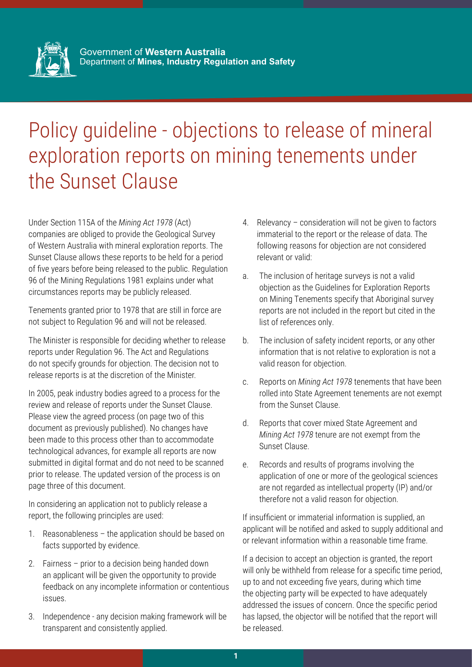

## Policy guideline - objections to release of mineral exploration reports on mining tenements under the Sunset Clause

Under Section 115A of the *Mining Act 1978* (Act) companies are obliged to provide the Geological Survey of Western Australia with mineral exploration reports. The Sunset Clause allows these reports to be held for a period of five years before being released to the public. Regulation 96 of the Mining Regulations 1981 explains under what circumstances reports may be publicly released.

Tenements granted prior to 1978 that are still in force are not subject to Regulation 96 and will not be released.

The Minister is responsible for deciding whether to release reports under Regulation 96. The Act and Regulations do not specify grounds for objection. The decision not to release reports is at the discretion of the Minister.

In 2005, peak industry bodies agreed to a process for the review and release of reports under the Sunset Clause. Please view the agreed process (on page two of this document as previously published). No changes have been made to this process other than to accommodate technological advances, for example all reports are now submitted in digital format and do not need to be scanned prior to release. The updated version of the process is on page three of this document.

In considering an application not to publicly release a report, the following principles are used:

- 1. Reasonableness the application should be based on facts supported by evidence.
- 2. Fairness prior to a decision being handed down an applicant will be given the opportunity to provide feedback on any incomplete information or contentious issues.
- 3. Independence any decision making framework will be transparent and consistently applied.
- 4. Relevancy consideration will not be given to factors immaterial to the report or the release of data. The following reasons for objection are not considered relevant or valid:
- a. The inclusion of heritage surveys is not a valid objection as the Guidelines for Exploration Reports on Mining Tenements specify that Aboriginal survey reports are not included in the report but cited in the list of references only.
- b. The inclusion of safety incident reports, or any other information that is not relative to exploration is not a valid reason for objection.
- c. Reports on *Mining Act 1978* tenements that have been rolled into State Agreement tenements are not exempt from the Sunset Clause.
- d. Reports that cover mixed State Agreement and *Mining Act 1978* tenure are not exempt from the Sunset Clause.
- e. Records and results of programs involving the application of one or more of the geological sciences are not regarded as intellectual property (IP) and/or therefore not a valid reason for objection.

If insufficient or immaterial information is supplied, an applicant will be notified and asked to supply additional and or relevant information within a reasonable time frame.

If a decision to accept an objection is granted, the report will only be withheld from release for a specific time period, up to and not exceeding five years, during which time the objecting party will be expected to have adequately addressed the issues of concern. Once the specific period has lapsed, the objector will be notified that the report will be released.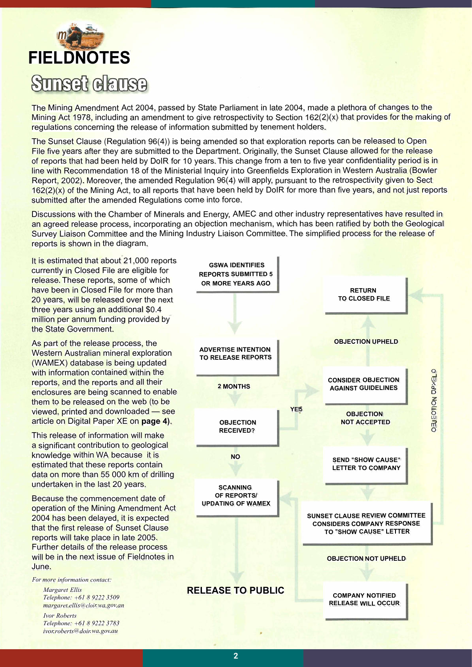

The Mining Amendment Act 2004, passed by State Parliament in late 2004, made a plethora of changes to the Mining Act 1978, including an amendment to give retrospectivity to Section  $162(2)(x)$  that provides for the making of regulations concerning the release of information submitted by tenement holders.

The Sunset Clause (Regulation 96(4)) is being amended so that exploration reports can be released to Open File five years after they are submitted to the Department. Originally, the Sunset Clause allowed for the release of reports that had been held by DoIR for 10 years. This change from a ten to five year confidentiality period is in line with Recommendation 18 of the Ministerial Inquiry into Greenfields Exploration in Western Australia (Bowler Report, 2002). Moreover, the amended Regulation 96(4) will apply, pursuant to the retrospectivity given to Sect  $162(2)(x)$  of the Mining Act, to all reports that have been held by DoIR for more than five years, and not just reports submitted after the amended Regulations come into force.

Discussions with the Chamber of Minerals and Energy, AMEC and other industry representatives have resulted in an agreed release process, incorporating an objection mechanism, which has been ratified by both the Geological Survey Liaison Committee and the Mining Industry Liaison Committee. The simplified process for the release of reports is shown in the diagram.

It is estimated that about 21,000 reports currently in Closed File are eligible for release. These reports, some of which have been in Closed File for more than 20 years, will be released over the next three years using an additional \$0.4 million per annum funding provided by the State Government.

As part of the release process, the Western Australian mineral exploration (WAMEX) database is being updated with information contained within the reports, and the reports and all their enclosures are being scanned to enable them to be released on the web (to be viewed, printed and downloaded — see article on Digital Paper XE on **page 4).**

This release of information will make a significant contribution to geological knowledge within WA because it is estimated that these reports contain data on more than 55 000 km of drilling undertaken in the last 20 years.

Because the commencement date of operation of the Mining Amendment Act 2004 has been delayed, it is expected that the first release of Sunset Clause reports will take place in late 2005. Further details of the release process will be in the next issue of Fieldnotes in June.

*For more information contact:*

*Margaret Ellis Telephone: +61 8 9222 3509 margaret.ellis@cloir.wa.gov.an Ivor Roberts Telephone: +61 8 9222 3783 ivor.roberts@doir.wa.gov.au*